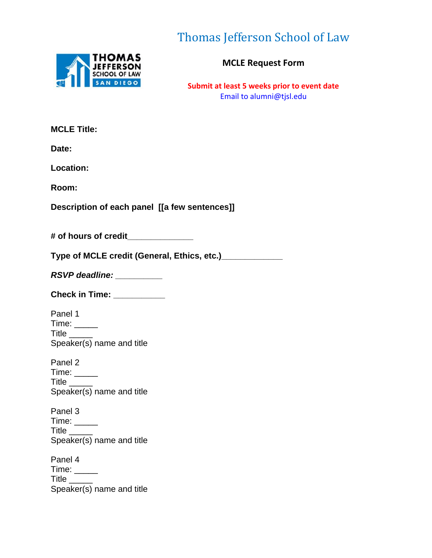

Thomas Jefferson School of Law

**MCLE Request Form**

**Submit at least 5 weeks prior to event date** Email to alumni@tjsl.edu

| <b>MCLE Title:</b>                                         |
|------------------------------------------------------------|
| Date:                                                      |
| Location:                                                  |
| Room:                                                      |
| Description of each panel [[a few sentences]]              |
| # of hours of credit_____________                          |
| Type of MCLE credit (General, Ethics, etc.)_______________ |
| RSVP deadline: __________                                  |
| Check in Time: ___________                                 |
| Panel 1                                                    |
| Time: _____<br>Title $\rule{1em}{0.15mm}$                  |
| Speaker(s) name and title                                  |
| Panel 2                                                    |
| Time: $\rule{1em}{0.15mm}$                                 |
| Title $\rule{1em}{0.15mm}$<br>Speaker(s) name and title    |
| Panel 3                                                    |
| Time: $\_\_$                                               |
| Title $\_\_$<br>Speaker(s) name and title                  |
| Panel 4                                                    |
| Title<br>$\sim$ $\sim$                                     |
| Speaker(s) name and title                                  |